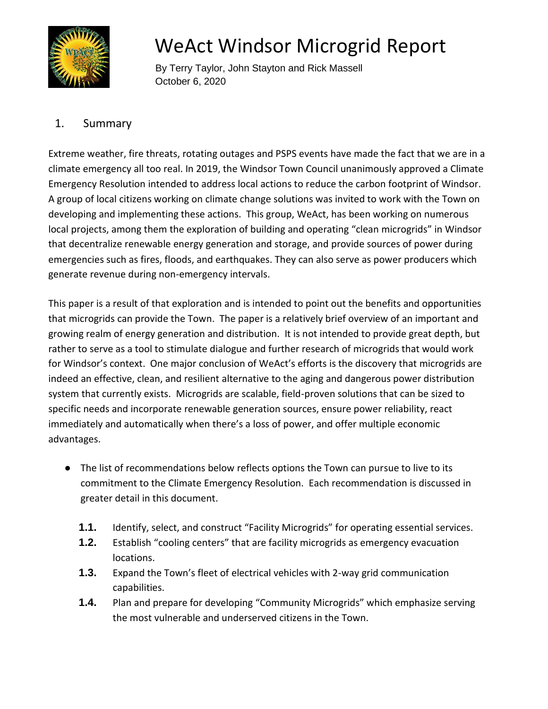

# WeAct Windsor Microgrid Report

 By Terry Taylor, John Stayton and Rick Massell October 6, 2020

# 1. Summary

Extreme weather, fire threats, rotating outages and PSPS events have made the fact that we are in a climate emergency all too real. In 2019, the Windsor Town Council unanimously approved a Climate Emergency Resolution intended to address local actions to reduce the carbon footprint of Windsor. A group of local citizens working on climate change solutions was invited to work with the Town on developing and implementing these actions. This group, WeAct, has been working on numerous local projects, among them the exploration of building and operating "clean microgrids" in Windsor that decentralize renewable energy generation and storage, and provide sources of power during emergencies such as fires, floods, and earthquakes. They can also serve as power producers which generate revenue during non-emergency intervals.

This paper is a result of that exploration and is intended to point out the benefits and opportunities that microgrids can provide the Town. The paper is a relatively brief overview of an important and growing realm of energy generation and distribution. It is not intended to provide great depth, but rather to serve as a tool to stimulate dialogue and further research of microgrids that would work for Windsor's context. One major conclusion of WeAct's efforts is the discovery that microgrids are indeed an effective, clean, and resilient alternative to the aging and dangerous power distribution system that currently exists. Microgrids are scalable, field-proven solutions that can be sized to specific needs and incorporate renewable generation sources, ensure power reliability, react immediately and automatically when there's a loss of power, and offer multiple economic advantages.

- The list of recommendations below reflects options the Town can pursue to live to its commitment to the Climate Emergency Resolution. Each recommendation is discussed in greater detail in this document.
	- **1.1.** Identify, select, and construct "Facility Microgrids" for operating essential services.
	- **1.2.** Establish "cooling centers" that are facility microgrids as emergency evacuation locations.
	- **1.3.** Expand the Town's fleet of electrical vehicles with 2-way grid communication capabilities.
	- **1.4.** Plan and prepare for developing "Community Microgrids" which emphasize serving the most vulnerable and underserved citizens in the Town.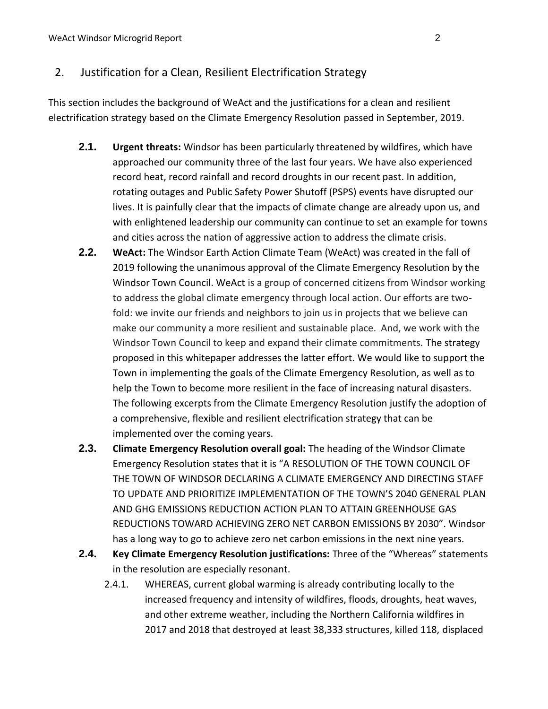# 2. Justification for a Clean, Resilient Electrification Strategy

This section includes the background of WeAct and the justifications for a clean and resilient electrification strategy based on the Climate Emergency Resolution passed in September, 2019.

- **2.1. Urgent threats:** Windsor has been particularly threatened by wildfires, which have approached our community three of the last four years. We have also experienced record heat, record rainfall and record droughts in our recent past. In addition, rotating outages and Public Safety Power Shutoff (PSPS) events have disrupted our lives. It is painfully clear that the impacts of climate change are already upon us, and with enlightened leadership our community can continue to set an example for towns and cities across the nation of aggressive action to address the climate crisis.
- **2.2. WeAct:** The Windsor Earth Action Climate Team (WeAct) was created in the fall of 2019 following the unanimous approval of the Climate Emergency Resolution by the Windsor Town Council. WeAct is a group of concerned citizens from Windsor working to address the global climate emergency through local action. Our efforts are twofold: we invite our friends and neighbors to join us in projects that we believe can make our community a more resilient and sustainable place. And, we work with the Windsor Town Council to keep and expand their climate commitments. The strategy proposed in this whitepaper addresses the latter effort. We would like to support the Town in implementing the goals of the Climate Emergency Resolution, as well as to help the Town to become more resilient in the face of increasing natural disasters. The following excerpts from the Climate Emergency Resolution justify the adoption of a comprehensive, flexible and resilient electrification strategy that can be implemented over the coming years.
- **2.3. Climate Emergency Resolution overall goal:** The heading of the Windsor Climate Emergency Resolution states that it is "A RESOLUTION OF THE TOWN COUNCIL OF THE TOWN OF WINDSOR DECLARING A CLIMATE EMERGENCY AND DIRECTING STAFF TO UPDATE AND PRIORITIZE IMPLEMENTATION OF THE TOWN'S 2040 GENERAL PLAN AND GHG EMISSIONS REDUCTION ACTION PLAN TO ATTAIN GREENHOUSE GAS REDUCTIONS TOWARD ACHIEVING ZERO NET CARBON EMISSIONS BY 2030". Windsor has a long way to go to achieve zero net carbon emissions in the next nine years.
- **2.4. Key Climate Emergency Resolution justifications:** Three of the "Whereas" statements in the resolution are especially resonant.
	- 2.4.1. WHEREAS, current global warming is already contributing locally to the increased frequency and intensity of wildfires, floods, droughts, heat waves, and other extreme weather, including the Northern California wildfires in 2017 and 2018 that destroyed at least 38,333 structures, killed 118, displaced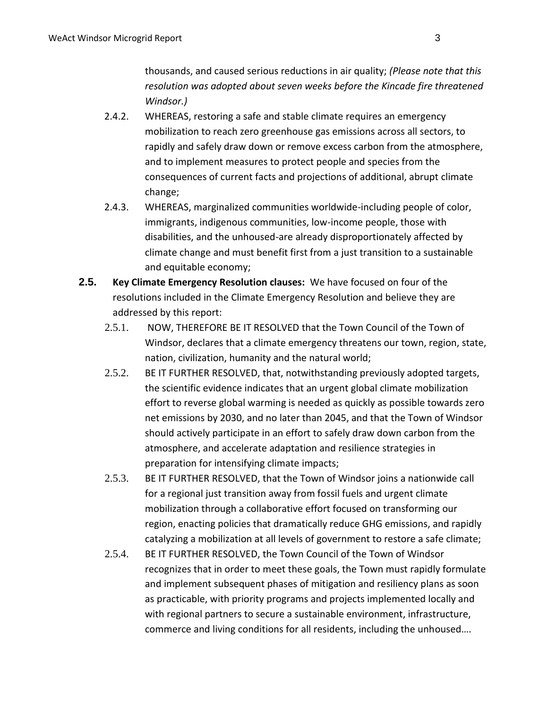thousands, and caused serious reductions in air quality; *(Please note that this resolution was adopted about seven weeks before the Kincade fire threatened Windsor.)*

- 2.4.2. WHEREAS, restoring a safe and stable climate requires an emergency mobilization to reach zero greenhouse gas emissions across all sectors, to rapidly and safely draw down or remove excess carbon from the atmosphere, and to implement measures to protect people and species from the consequences of current facts and projections of additional, abrupt climate change;
- 2.4.3. WHEREAS, marginalized communities worldwide-including people of color, immigrants, indigenous communities, low-income people, those with disabilities, and the unhoused-are already disproportionately affected by climate change and must benefit first from a just transition to a sustainable and equitable economy;
- **2.5. Key Climate Emergency Resolution clauses:** We have focused on four of the resolutions included in the Climate Emergency Resolution and believe they are addressed by this report:
	- 2.5.1. NOW, THEREFORE BE IT RESOLVED that the Town Council of the Town of Windsor, declares that a climate emergency threatens our town, region, state, nation, civilization, humanity and the natural world;
	- 2.5.2. BE IT FURTHER RESOLVED, that, notwithstanding previously adopted targets, the scientific evidence indicates that an urgent global climate mobilization effort to reverse global warming is needed as quickly as possible towards zero net emissions by 2030, and no later than 2045, and that the Town of Windsor should actively participate in an effort to safely draw down carbon from the atmosphere, and accelerate adaptation and resilience strategies in preparation for intensifying climate impacts;
	- 2.5.3. BE IT FURTHER RESOLVED, that the Town of Windsor joins a nationwide call for a regional just transition away from fossil fuels and urgent climate mobilization through a collaborative effort focused on transforming our region, enacting policies that dramatically reduce GHG emissions, and rapidly catalyzing a mobilization at all levels of government to restore a safe climate;
	- 2.5.4. BE IT FURTHER RESOLVED, the Town Council of the Town of Windsor recognizes that in order to meet these goals, the Town must rapidly formulate and implement subsequent phases of mitigation and resiliency plans as soon as practicable, with priority programs and projects implemented locally and with regional partners to secure a sustainable environment, infrastructure, commerce and living conditions for all residents, including the unhoused….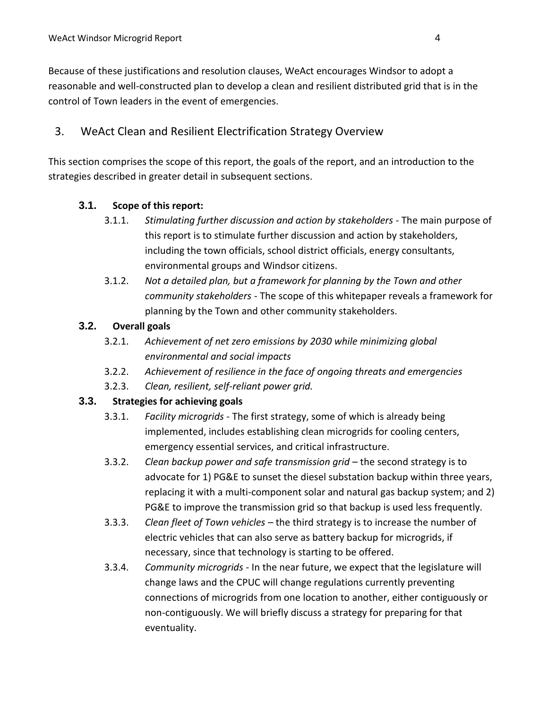Because of these justifications and resolution clauses, WeAct encourages Windsor to adopt a reasonable and well-constructed plan to develop a clean and resilient distributed grid that is in the control of Town leaders in the event of emergencies.

# 3. WeAct Clean and Resilient Electrification Strategy Overview

This section comprises the scope of this report, the goals of the report, and an introduction to the strategies described in greater detail in subsequent sections.

#### **3.1. Scope of this report:**

- 3.1.1. *Stimulating further discussion and action by stakeholders -* The main purpose of this report is to stimulate further discussion and action by stakeholders, including the town officials, school district officials, energy consultants, environmental groups and Windsor citizens.
- 3.1.2. *Not a detailed plan, but a framework for planning by the Town and other community stakeholders -* The scope of this whitepaper reveals a framework for planning by the Town and other community stakeholders.

#### **3.2. Overall goals**

- 3.2.1. *Achievement of net zero emissions by 2030 while minimizing global environmental and social impacts*
- 3.2.2. *Achievement of resilience in the face of ongoing threats and emergencies*
- 3.2.3. *Clean, resilient, self-reliant power grid.*

## **3.3. Strategies for achieving goals**

- 3.3.1. *Facility microgrids* The first strategy, some of which is already being implemented, includes establishing clean microgrids for cooling centers, emergency essential services, and critical infrastructure.
- 3.3.2. *Clean backup power and safe transmission grid*  the second strategy is to advocate for 1) PG&E to sunset the diesel substation backup within three years, replacing it with a multi-component solar and natural gas backup system; and 2) PG&E to improve the transmission grid so that backup is used less frequently.
- 3.3.3. *Clean fleet of Town vehicles –* the third strategy is to increase the number of electric vehicles that can also serve as battery backup for microgrids, if necessary, since that technology is starting to be offered.
- 3.3.4. *Community microgrids -* In the near future, we expect that the legislature will change laws and the CPUC will change regulations currently preventing connections of microgrids from one location to another, either contiguously or non-contiguously. We will briefly discuss a strategy for preparing for that eventuality.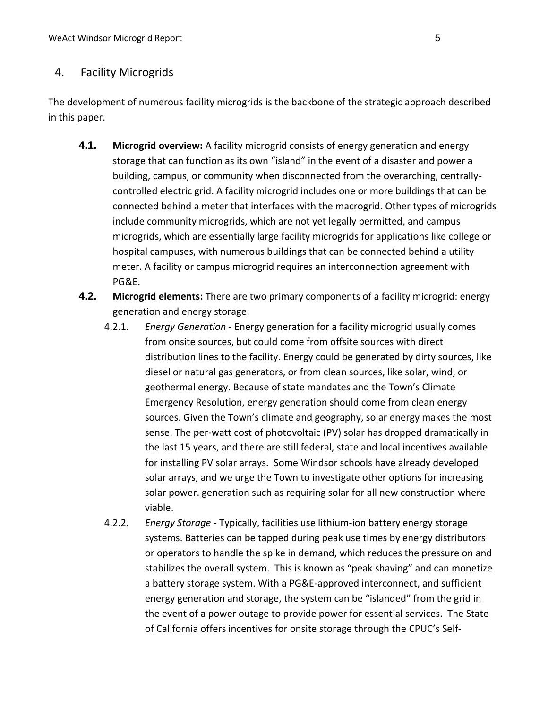## 4. Facility Microgrids

The development of numerous facility microgrids is the backbone of the strategic approach described in this paper.

- **4.1. Microgrid overview:** A facility microgrid consists of energy generation and energy storage that can function as its own "island" in the event of a disaster and power a building, campus, or community when disconnected from the overarching, centrallycontrolled electric grid. A facility microgrid includes one or more buildings that can be connected behind a meter that interfaces with the macrogrid. Other types of microgrids include community microgrids, which are not yet legally permitted, and campus microgrids, which are essentially large facility microgrids for applications like college or hospital campuses, with numerous buildings that can be connected behind a utility meter. A facility or campus microgrid requires an interconnection agreement with PG&E.
- **4.2. Microgrid elements:** There are two primary components of a facility microgrid: energy generation and energy storage.
	- 4.2.1. *Energy Generation* Energy generation for a facility microgrid usually comes from onsite sources, but could come from offsite sources with direct distribution lines to the facility. Energy could be generated by dirty sources, like diesel or natural gas generators, or from clean sources, like solar, wind, or geothermal energy. Because of state mandates and the Town's Climate Emergency Resolution, energy generation should come from clean energy sources. Given the Town's climate and geography, solar energy makes the most sense. The per-watt cost of photovoltaic (PV) solar has dropped dramatically in the last 15 years, and there are still federal, state and local incentives available for installing PV solar arrays. Some Windsor schools have already developed solar arrays, and we urge the Town to investigate other options for increasing solar power. generation such as requiring solar for all new construction where viable.
	- 4.2.2. *Energy Storage* Typically, facilities use lithium-ion battery energy storage systems. Batteries can be tapped during peak use times by energy distributors or operators to handle the spike in demand, which reduces the pressure on and stabilizes the overall system. This is known as "peak shaving" and can monetize a battery storage system. With a PG&E-approved interconnect, and sufficient energy generation and storage, the system can be "islanded" from the grid in the event of a power outage to provide power for essential services. The State of California offers incentives for onsite storage through the CPUC's Self-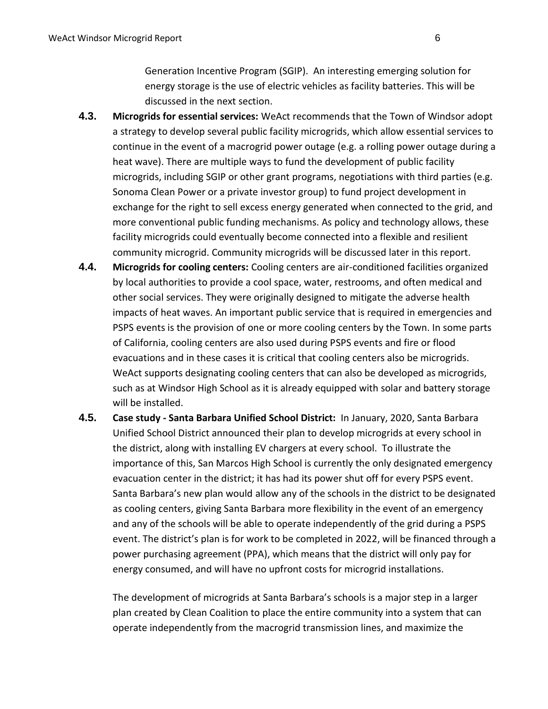Generation Incentive Program (SGIP). An interesting emerging solution for energy storage is the use of electric vehicles as facility batteries. This will be discussed in the next section.

- **4.3. Microgrids for essential services:** WeAct recommends that the Town of Windsor adopt a strategy to develop several public facility microgrids, which allow essential services to continue in the event of a macrogrid power outage (e.g. a rolling power outage during a heat wave). There are multiple ways to fund the development of public facility microgrids, including SGIP or other grant programs, negotiations with third parties (e.g. Sonoma Clean Power or a private investor group) to fund project development in exchange for the right to sell excess energy generated when connected to the grid, and more conventional public funding mechanisms. As policy and technology allows, these facility microgrids could eventually become connected into a flexible and resilient community microgrid. Community microgrids will be discussed later in this report.
- **4.4. Microgrids for cooling centers:** Cooling centers are air-conditioned facilities organized by local authorities to provide a cool space, water, restrooms, and often medical and other social services. They were originally designed to mitigate the adverse health impacts of heat waves. An important public service that is required in emergencies and PSPS events is the provision of one or more cooling centers by the Town. In some parts of California, cooling centers are also used during PSPS events and fire or flood evacuations and in these cases it is critical that cooling centers also be microgrids. WeAct supports designating cooling centers that can also be developed as microgrids, such as at Windsor High School as it is already equipped with solar and battery storage will be installed.
- **4.5. Case study - Santa Barbara Unified School District:** In January, 2020, Santa Barbara Unified School District announced their plan to develop microgrids at every school in the district, along with installing EV chargers at every school. To illustrate the importance of this, San Marcos High School is currently the only designated emergency evacuation center in the district; it has had its power shut off for every PSPS event. Santa Barbara's new plan would allow any of the schools in the district to be designated as cooling centers, giving Santa Barbara more flexibility in the event of an emergency and any of the schools will be able to operate independently of the grid during a PSPS event. The district's plan is for work to be completed in 2022, will be financed through a power purchasing agreement (PPA), which means that the district will only pay for energy consumed, and will have no upfront costs for microgrid installations.

The development of microgrids at Santa Barbara's schools is a major step in a larger plan created by Clean Coalition to place the entire community into a system that can operate independently from the macrogrid transmission lines, and maximize the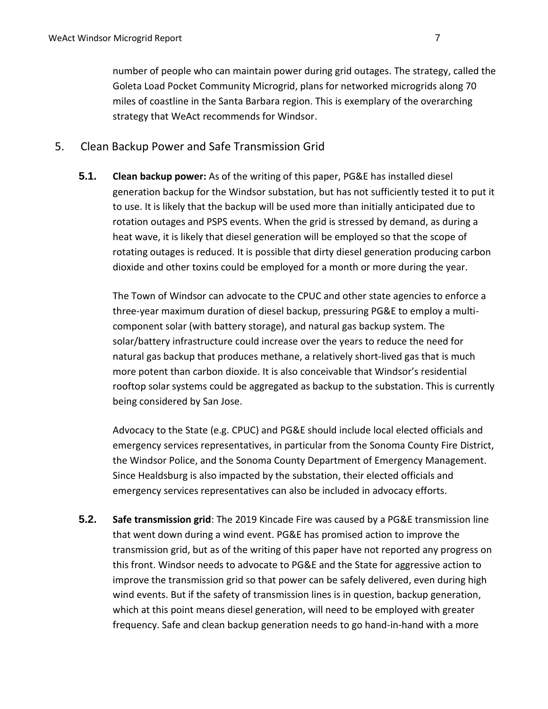number of people who can maintain power during grid outages. The strategy, called the Goleta Load Pocket Community Microgrid, plans for networked microgrids along 70 miles of coastline in the Santa Barbara region. This is exemplary of the overarching strategy that WeAct recommends for Windsor.

#### 5. Clean Backup Power and Safe Transmission Grid

**5.1. Clean backup power:** As of the writing of this paper, PG&E has installed diesel generation backup for the Windsor substation, but has not sufficiently tested it to put it to use. It is likely that the backup will be used more than initially anticipated due to rotation outages and PSPS events. When the grid is stressed by demand, as during a heat wave, it is likely that diesel generation will be employed so that the scope of rotating outages is reduced. It is possible that dirty diesel generation producing carbon dioxide and other toxins could be employed for a month or more during the year.

The Town of Windsor can advocate to the CPUC and other state agencies to enforce a three-year maximum duration of diesel backup, pressuring PG&E to employ a multicomponent solar (with battery storage), and natural gas backup system. The solar/battery infrastructure could increase over the years to reduce the need for natural gas backup that produces methane, a relatively short-lived gas that is much more potent than carbon dioxide. It is also conceivable that Windsor's residential rooftop solar systems could be aggregated as backup to the substation. This is currently being considered by San Jose.

Advocacy to the State (e.g. CPUC) and PG&E should include local elected officials and emergency services representatives, in particular from the Sonoma County Fire District, the Windsor Police, and the Sonoma County Department of Emergency Management. Since Healdsburg is also impacted by the substation, their elected officials and emergency services representatives can also be included in advocacy efforts.

**5.2. Safe transmission grid**: The 2019 Kincade Fire was caused by a PG&E transmission line that went down during a wind event. PG&E has promised action to improve the transmission grid, but as of the writing of this paper have not reported any progress on this front. Windsor needs to advocate to PG&E and the State for aggressive action to improve the transmission grid so that power can be safely delivered, even during high wind events. But if the safety of transmission lines is in question, backup generation, which at this point means diesel generation, will need to be employed with greater frequency. Safe and clean backup generation needs to go hand-in-hand with a more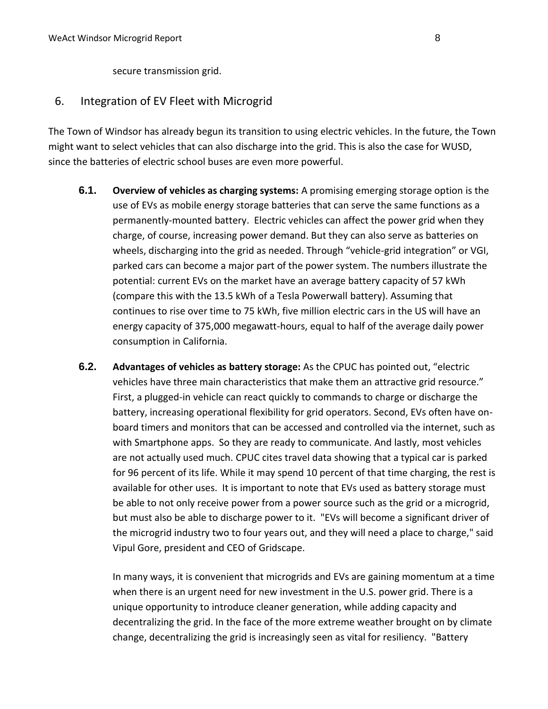secure transmission grid.

#### 6. Integration of EV Fleet with Microgrid

The Town of Windsor has already begun its transition to using electric vehicles. In the future, the Town might want to select vehicles that can also discharge into the grid. This is also the case for WUSD, since the batteries of electric school buses are even more powerful.

- **6.1. Overview of vehicles as charging systems:** A promising emerging storage option is the use of EVs as mobile energy storage batteries that can serve the same functions as a permanently-mounted battery. Electric vehicles can affect the power grid when they charge, of course, increasing power demand. But they can also serve as batteries on wheels, discharging into the grid as needed. Through "vehicle-grid integration" or VGI, parked cars can become a major part of the power system. The numbers illustrate the potential: current EVs on the market have an average battery capacity of 57 kWh (compare this with the 13.5 kWh of a Tesla Powerwall battery). Assuming that continues to rise over time to 75 kWh, five million electric cars in the US will have an energy capacity of 375,000 megawatt-hours, equal to half of the average daily power consumption in California.
- **6.2. Advantages of vehicles as battery storage:** As the CPUC has pointed out, "electric vehicles have three main characteristics that make them an attractive grid resource." First, a plugged-in vehicle can react quickly to commands to charge or discharge the battery, increasing operational flexibility for grid operators. Second, EVs often have onboard timers and monitors that can be accessed and controlled via the internet, such as with Smartphone apps. So they are ready to communicate. And lastly, most vehicles are not actually used much. CPUC cites travel data showing that a typical car is parked for 96 percent of its life. While it may spend 10 percent of that time charging, the rest is available for other uses. It is important to note that EVs used as battery storage must be able to not only receive power from a power source such as the grid or a microgrid, but must also be able to discharge power to it. "EVs will become a significant driver of the microgrid industry two to four years out, and they will need a place to charge," said Vipul Gore, president and CEO of Gridscape.

In many ways, it is convenient that microgrids and EVs are gaining momentum at a time when there is an urgent need for new investment in the U.S. power grid. There is a unique opportunity to introduce cleaner generation, while adding capacity and decentralizing the grid. In the face of the more extreme weather brought on by climate change, decentralizing the grid is increasingly seen as vital for resiliency. "Battery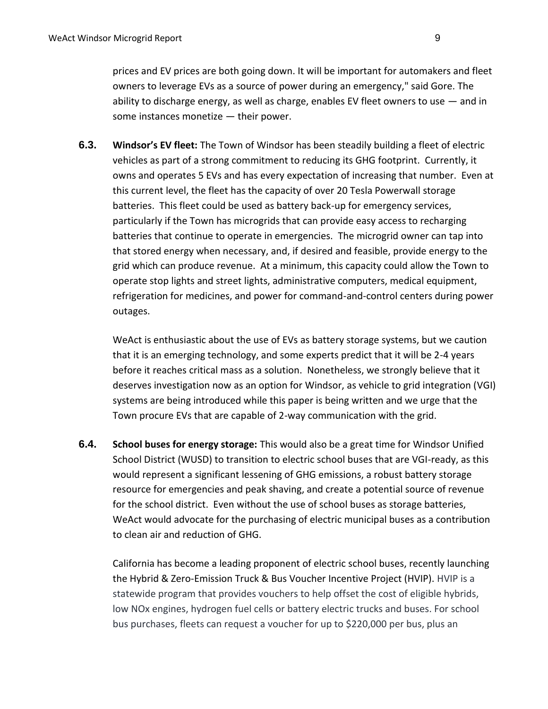prices and EV prices are both going down. It will be important for automakers and fleet owners to leverage EVs as a source of power during an emergency," said Gore. The ability to discharge energy, as well as charge, enables EV fleet owners to use  $-$  and in some instances monetize — their power.

**6.3. Windsor's EV fleet:** The Town of Windsor has been steadily building a fleet of electric vehicles as part of a strong commitment to reducing its GHG footprint. Currently, it owns and operates 5 EVs and has every expectation of increasing that number. Even at this current level, the fleet has the capacity of over 20 Tesla Powerwall storage batteries. This fleet could be used as battery back-up for emergency services, particularly if the Town has microgrids that can provide easy access to recharging batteries that continue to operate in emergencies. The microgrid owner can tap into that stored energy when necessary, and, if desired and feasible, provide energy to the grid which can produce revenue. At a minimum, this capacity could allow the Town to operate stop lights and street lights, administrative computers, medical equipment, refrigeration for medicines, and power for command-and-control centers during power outages.

WeAct is enthusiastic about the use of EVs as battery storage systems, but we caution that it is an emerging technology, and some experts predict that it will be 2-4 years before it reaches critical mass as a solution. Nonetheless, we strongly believe that it deserves investigation now as an option for Windsor, as vehicle to grid integration (VGI) systems are being introduced while this paper is being written and we urge that the Town procure EVs that are capable of 2-way communication with the grid.

**6.4. School buses for energy storage:** This would also be a great time for Windsor Unified School District (WUSD) to transition to electric school buses that are VGI-ready, as this would represent a significant lessening of GHG emissions, a robust battery storage resource for emergencies and peak shaving, and create a potential source of revenue for the school district. Even without the use of school buses as storage batteries, WeAct would advocate for the purchasing of electric municipal buses as a contribution to clean air and reduction of GHG.

California has become a leading proponent of electric school buses, recently launching the Hybrid & Zero-Emission Truck & Bus Voucher Incentive Project (HVIP). HVIP is a statewide program that provides vouchers to help offset the cost of eligible hybrids, low NOx engines, hydrogen fuel cells or battery electric trucks and buses. For school bus purchases, fleets can request a voucher for up to \$220,000 per bus, plus an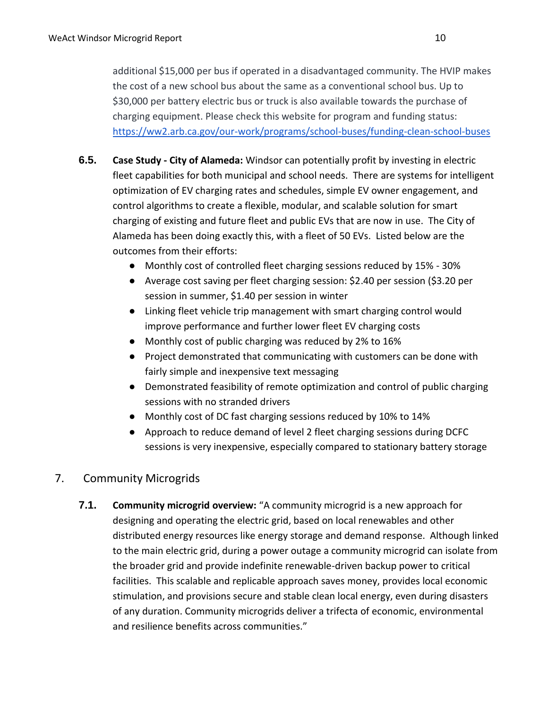additional \$15,000 per bus if operated in a disadvantaged community. The HVIP makes the cost of a new school bus about the same as a conventional school bus. Up to \$30,000 per battery electric bus or truck is also available towards the purchase of charging equipment. Please check this website for program and funding status: <https://ww2.arb.ca.gov/our-work/programs/school-buses/funding-clean-school-buses>

- **6.5. Case Study - City of Alameda:** Windsor can potentially profit by investing in electric fleet capabilities for both municipal and school needs. There are systems for intelligent optimization of EV charging rates and schedules, simple EV owner engagement, and control algorithms to create a flexible, modular, and scalable solution for smart charging of existing and future fleet and public EVs that are now in use. The City of Alameda has been doing exactly this, with a fleet of 50 EVs. Listed below are the outcomes from their efforts:
	- Monthly cost of controlled fleet charging sessions reduced by 15% 30%
	- Average cost saving per fleet charging session: \$2.40 per session (\$3.20 per session in summer, \$1.40 per session in winter
	- Linking fleet vehicle trip management with smart charging control would improve performance and further lower fleet EV charging costs
	- Monthly cost of public charging was reduced by 2% to 16%
	- Project demonstrated that communicating with customers can be done with fairly simple and inexpensive text messaging
	- Demonstrated feasibility of remote optimization and control of public charging sessions with no stranded drivers
	- Monthly cost of DC fast charging sessions reduced by 10% to 14%
	- Approach to reduce demand of level 2 fleet charging sessions during DCFC sessions is very inexpensive, especially compared to stationary battery storage

# 7. Community Microgrids

**7.1. Community microgrid overview:** "A community microgrid is a new approach for designing and operating the electric grid, based on local renewables and other distributed energy resources like energy storage and demand response. Although linked to the main electric grid, during a power outage a community microgrid can isolate from the broader grid and provide indefinite renewable-driven backup power to critical facilities. This scalable and replicable approach saves money, provides local economic stimulation, and provisions secure and stable clean local energy, even during disasters of any duration. Community microgrids deliver a trifecta of economic, environmental and resilience benefits across communities."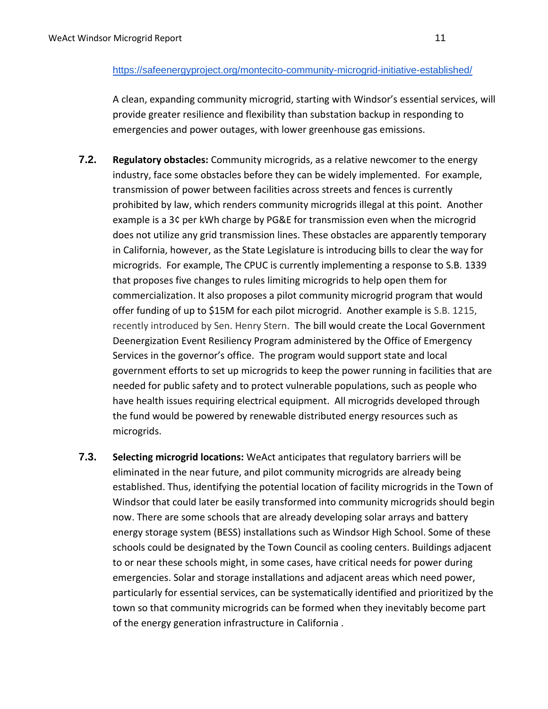#### <https://safeenergyproject.org/montecito-community-microgrid-initiative-established/>

A clean, expanding community microgrid, starting with Windsor's essential services, will provide greater resilience and flexibility than substation backup in responding to emergencies and power outages, with lower greenhouse gas emissions.

- **7.2. Regulatory obstacles:** Community microgrids, as a relative newcomer to the energy industry, face some obstacles before they can be widely implemented. For example, transmission of power between facilities across streets and fences is currently prohibited by law, which renders community microgrids illegal at this point. Another example is a 3¢ per kWh charge by PG&E for transmission even when the microgrid does not utilize any grid transmission lines. These obstacles are apparently temporary in California, however, as the State Legislature is introducing bills to clear the way for microgrids. For example, The CPUC is currently implementing a response to S.B. 1339 that proposes five changes to rules limiting microgrids to help open them for commercialization. It also proposes a pilot community microgrid program that would offer funding of up to \$15M for each pilot microgrid. Another example is S.B. 1215, recently introduced by Sen. Henry Stern. The bill would create the Local Government Deenergization Event Resiliency Program administered by the Office of Emergency Services in the governor's office. The program would support state and local government efforts to set up microgrids to keep the power running in facilities that are needed for public safety and to protect vulnerable populations, such as people who have health issues requiring electrical equipment. All microgrids developed through the fund would be powered by renewable distributed energy resources such as microgrids.
- **7.3. Selecting microgrid locations:** WeAct anticipates that regulatory barriers will be eliminated in the near future, and pilot community microgrids are already being established. Thus, identifying the potential location of facility microgrids in the Town of Windsor that could later be easily transformed into community microgrids should begin now. There are some schools that are already developing solar arrays and battery energy storage system (BESS) installations such as Windsor High School. Some of these schools could be designated by the Town Council as cooling centers. Buildings adjacent to or near these schools might, in some cases, have critical needs for power during emergencies. Solar and storage installations and adjacent areas which need power, particularly for essential services, can be systematically identified and prioritized by the town so that community microgrids can be formed when they inevitably become part of the energy generation infrastructure in California .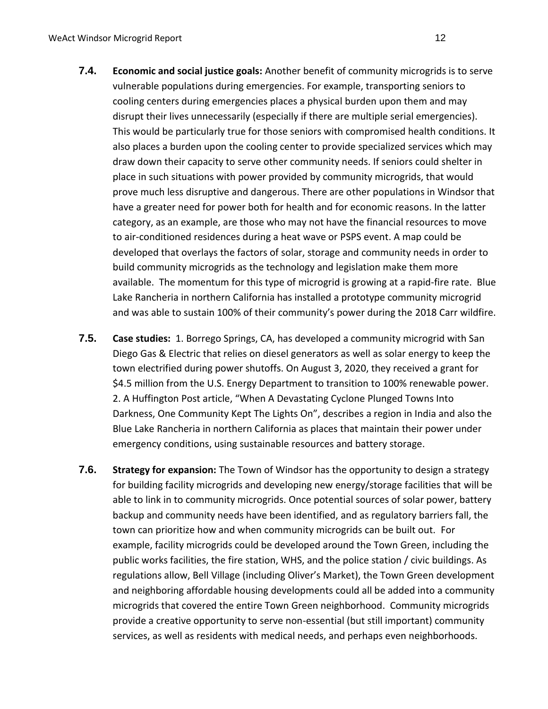- **7.4. Economic and social justice goals:** Another benefit of community microgrids is to serve vulnerable populations during emergencies. For example, transporting seniors to cooling centers during emergencies places a physical burden upon them and may disrupt their lives unnecessarily (especially if there are multiple serial emergencies). This would be particularly true for those seniors with compromised health conditions. It also places a burden upon the cooling center to provide specialized services which may draw down their capacity to serve other community needs. If seniors could shelter in place in such situations with power provided by community microgrids, that would prove much less disruptive and dangerous. There are other populations in Windsor that have a greater need for power both for health and for economic reasons. In the latter category, as an example, are those who may not have the financial resources to move to air-conditioned residences during a heat wave or PSPS event. A map could be developed that overlays the factors of solar, storage and community needs in order to build community microgrids as the technology and legislation make them more available. The momentum for this type of microgrid is growing at a rapid-fire rate. Blue Lake Rancheria in northern California has installed a prototype community microgrid and was able to sustain 100% of their community's power during the 2018 Carr wildfire.
- **7.5. Case studies:** 1. Borrego Springs, CA, has developed a community microgrid with San Diego Gas & Electric that relies on diesel generators as well as solar energy to keep the town electrified during power shutoffs. On August 3, 2020, they received a grant for \$4.5 million from the U.S. Energy Department to transition to 100% renewable power. 2. A Huffington Post article, "When A Devastating Cyclone Plunged Towns Into Darkness, One Community Kept The Lights On", describes a region in India and also the Blue Lake Rancheria in northern California as places that maintain their power under emergency conditions, using sustainable resources and battery storage.
- **7.6. Strategy for expansion:** The Town of Windsor has the opportunity to design a strategy for building facility microgrids and developing new energy/storage facilities that will be able to link in to community microgrids. Once potential sources of solar power, battery backup and community needs have been identified, and as regulatory barriers fall, the town can prioritize how and when community microgrids can be built out. For example, facility microgrids could be developed around the Town Green, including the public works facilities, the fire station, WHS, and the police station / civic buildings. As regulations allow, Bell Village (including Oliver's Market), the Town Green development and neighboring affordable housing developments could all be added into a community microgrids that covered the entire Town Green neighborhood. Community microgrids provide a creative opportunity to serve non-essential (but still important) community services, as well as residents with medical needs, and perhaps even neighborhoods.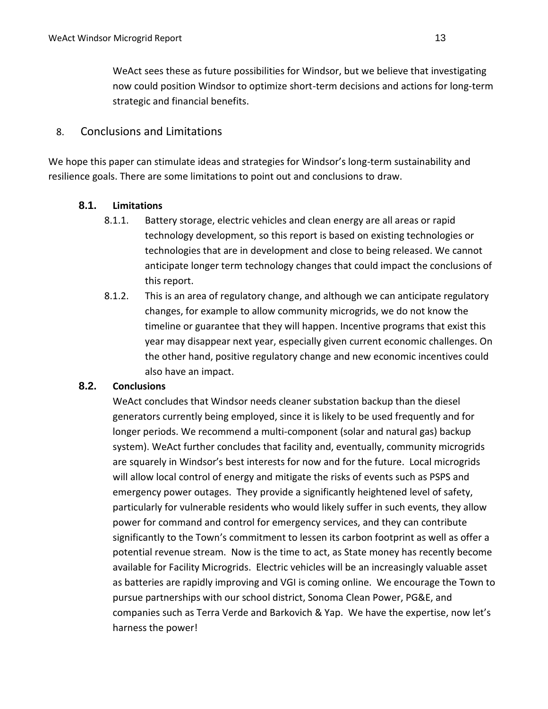WeAct sees these as future possibilities for Windsor, but we believe that investigating now could position Windsor to optimize short-term decisions and actions for long-term strategic and financial benefits.

## 8. Conclusions and Limitations

We hope this paper can stimulate ideas and strategies for Windsor's long-term sustainability and resilience goals. There are some limitations to point out and conclusions to draw.

#### **8.1. Limitations**

- 8.1.1. Battery storage, electric vehicles and clean energy are all areas or rapid technology development, so this report is based on existing technologies or technologies that are in development and close to being released. We cannot anticipate longer term technology changes that could impact the conclusions of this report.
- 8.1.2. This is an area of regulatory change, and although we can anticipate regulatory changes, for example to allow community microgrids, we do not know the timeline or guarantee that they will happen. Incentive programs that exist this year may disappear next year, especially given current economic challenges. On the other hand, positive regulatory change and new economic incentives could also have an impact.

## **8.2. Conclusions**

WeAct concludes that Windsor needs cleaner substation backup than the diesel generators currently being employed, since it is likely to be used frequently and for longer periods. We recommend a multi-component (solar and natural gas) backup system). WeAct further concludes that facility and, eventually, community microgrids are squarely in Windsor's best interests for now and for the future. Local microgrids will allow local control of energy and mitigate the risks of events such as PSPS and emergency power outages. They provide a significantly heightened level of safety, particularly for vulnerable residents who would likely suffer in such events, they allow power for command and control for emergency services, and they can contribute significantly to the Town's commitment to lessen its carbon footprint as well as offer a potential revenue stream. Now is the time to act, as State money has recently become available for Facility Microgrids. Electric vehicles will be an increasingly valuable asset as batteries are rapidly improving and VGI is coming online. We encourage the Town to pursue partnerships with our school district, Sonoma Clean Power, PG&E, and companies such as Terra Verde and Barkovich & Yap. We have the expertise, now let's harness the power!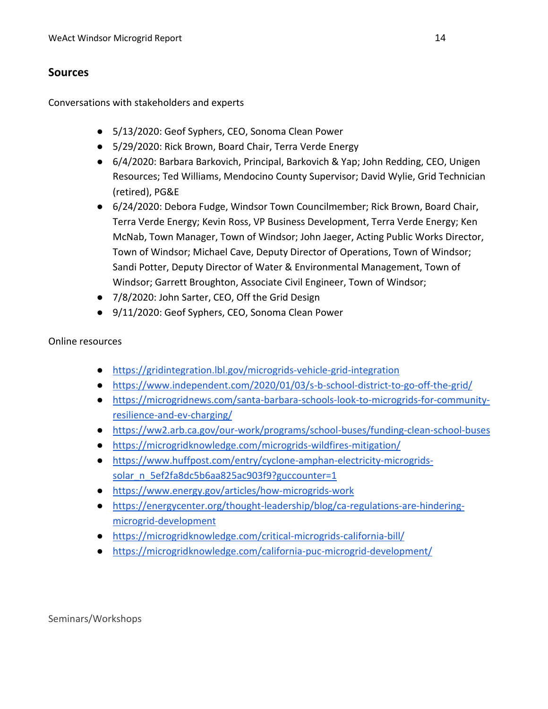## **Sources**

Conversations with stakeholders and experts

- 5/13/2020: Geof Syphers, CEO, Sonoma Clean Power
- 5/29/2020: Rick Brown, Board Chair, Terra Verde Energy
- 6/4/2020: Barbara Barkovich, Principal, Barkovich & Yap; John Redding, CEO, Unigen Resources; Ted Williams, Mendocino County Supervisor; David Wylie, Grid Technician (retired), PG&E
- 6/24/2020: Debora Fudge, Windsor Town Councilmember; Rick Brown, Board Chair, Terra Verde Energy; Kevin Ross, VP Business Development, Terra Verde Energy; Ken McNab, Town Manager, Town of Windsor; John Jaeger, Acting Public Works Director, Town of Windsor; Michael Cave, Deputy Director of Operations, Town of Windsor; Sandi Potter, Deputy Director of Water & Environmental Management, Town of Windsor; Garrett Broughton, Associate Civil Engineer, Town of Windsor;
- 7/8/2020: John Sarter, CEO, Off the Grid Design
- 9/11/2020: Geof Syphers, CEO, Sonoma Clean Power

#### Online resources

- <https://gridintegration.lbl.gov/microgrids-vehicle-grid-integration>
- <https://www.independent.com/2020/01/03/s-b-school-district-to-go-off-the-grid/>
- [https://microgridnews.com/santa-barbara-schools-look-to-microgrids-for-community](https://microgridnews.com/santa-barbara-schools-look-to-microgrids-for-community-resilience-and-ev-charging/)[resilience-and-ev-charging/](https://microgridnews.com/santa-barbara-schools-look-to-microgrids-for-community-resilience-and-ev-charging/)
- <https://ww2.arb.ca.gov/our-work/programs/school-buses/funding-clean-school-buses>
- <https://microgridknowledge.com/microgrids-wildfires-mitigation/>
- [https://www.huffpost.com/entry/cyclone-amphan-electricity-microgrids](https://www.huffpost.com/entry/cyclone-amphan-electricity-microgrids-solar_n_5ef2fa8dc5b6aa825ac903f9?guccounter=1)[solar\\_n\\_5ef2fa8dc5b6aa825ac903f9?guccounter=1](https://www.huffpost.com/entry/cyclone-amphan-electricity-microgrids-solar_n_5ef2fa8dc5b6aa825ac903f9?guccounter=1)
- <https://www.energy.gov/articles/how-microgrids-work>
- [https://energycenter.org/thought-leadership/blog/ca-regulations-are-hindering](https://energycenter.org/thought-leadership/blog/ca-regulations-are-hindering-microgrid-development)[microgrid-development](https://energycenter.org/thought-leadership/blog/ca-regulations-are-hindering-microgrid-development)
- <https://microgridknowledge.com/critical-microgrids-california-bill/>
- <https://microgridknowledge.com/california-puc-microgrid-development/>

Seminars/Workshops